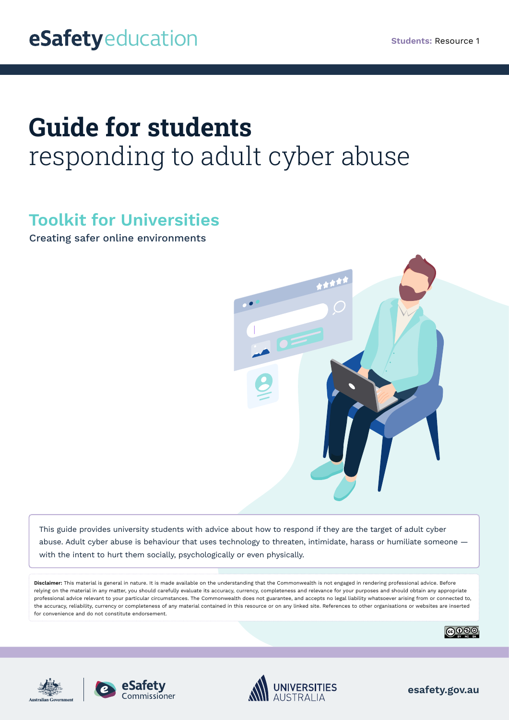# **Guide for students**  responding to adult cyber abuse

# **Toolkit for Universities**

Creating safer online environments



This guide provides university students with advice about how to respond if they are the target of adult cyber abuse. Adult cyber abuse is behaviour that uses technology to threaten, intimidate, harass or humiliate someone with the intent to hurt them socially, psychologically or even physically.

**Disclaimer:** This material is general in nature. It is made available on the understanding that the Commonwealth is not engaged in rendering professional advice. Before relying on the material in any matter, you should carefully evaluate its accuracy, currency, completeness and relevance for your purposes and should obtain any appropriate professional advice relevant to your particular circumstances. The Commonwealth does not guarantee, and accepts no legal liability whatsoever arising from or connected to, the accuracy, reliability, currency or completeness of any material contained in this resource or on any linked site. References to other organisations or websites are inserted for convenience and do not constitute endorsement.









**esafety.gov.au**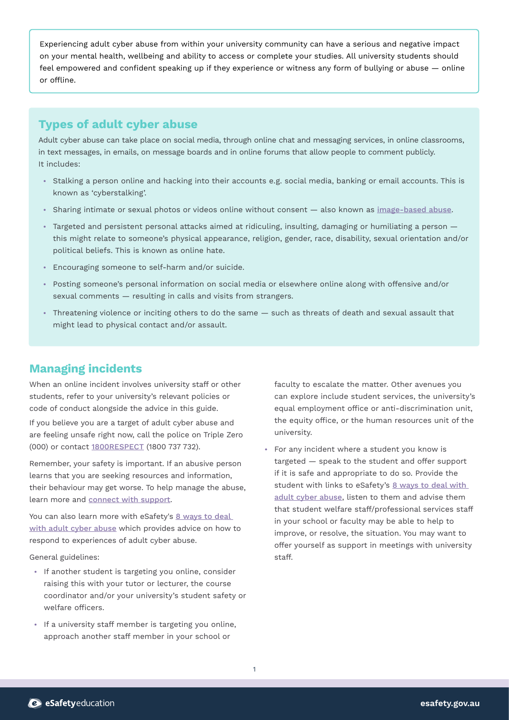Experiencing adult cyber abuse from within your university community can have a serious and negative impact on your mental health, wellbeing and ability to access or complete your studies. All university students should feel empowered and confident speaking up if they experience or witness any form of bullying or abuse — online or offline.

## **Types of adult cyber abuse**

Adult cyber abuse can take place on social media, through online chat and messaging services, in online classrooms, in text messages, in emails, on message boards and in online forums that allow people to comment publicly. It includes:

- **•** Stalking a person online and hacking into their accounts e.g. social media, banking or email accounts. This is known as 'cyberstalking'.
- **•** Sharing intimate or sexual photos or videos online without consent also known as [image-based abuse](https://www.esafety.gov.au/key-issues/image-based-abuse).
- **•** Targeted and persistent personal attacks aimed at ridiculing, insulting, damaging or humiliating a person this might relate to someone's physical appearance, religion, gender, race, disability, sexual orientation and/or political beliefs. This is known as online hate.
- **•** Encouraging someone to self-harm and/or suicide.
- **•** Posting someone's personal information on social media or elsewhere online along with offensive and/or sexual comments — resulting in calls and visits from strangers.
- **•** Threatening violence or inciting others to do the same such as threats of death and sexual assault that might lead to physical contact and/or assault.

### **Managing incidents**

When an online incident involves university staff or other students, refer to your university's relevant policies or code of conduct alongside the advice in this guide.

If you believe you are a target of adult cyber abuse and are feeling unsafe right now, call the police on Triple Zero (000) or contact [1800RESPECT](https://www.1800respect.org.au/) (1800 737 732).

Remember, your safety is important. If an abusive person learns that you are seeking resources and information, their behaviour may get worse. To help manage the abuse, learn more and [connect with support](https://www.esafety.gov.au/key-issues/domestic-family-violence/help-support).

You can also learn more with eSafety's 8 ways to deal [with adult cyber abuse](https://www.esafety.gov.au/key-issues/adult-cyber-abuse/managing-impacts) which provides advice on how to respond to experiences of adult cyber abuse.

General guidelines:

- **•** If another student is targeting you online, consider raising this with your tutor or lecturer, the course coordinator and/or your university's student safety or welfare officers.
- **•** If a university staff member is targeting you online, approach another staff member in your school or

faculty to escalate the matter. Other avenues you can explore include student services, the university's equal employment office or anti-discrimination unit, the equity office, or the human resources unit of the university.

**•** For any incident where a student you know is targeted — speak to the student and offer support if it is safe and appropriate to do so. Provide the student with links to eSafety's [8 ways to deal with](https://www.esafety.gov.au/key-issues/adult-cyber-abuse/managing-impacts) [adult cyber abuse](https://www.esafety.gov.au/key-issues/adult-cyber-abuse/managing-impacts), listen to them and advise them that student welfare staff/professional services staff in your school or faculty may be able to help to improve, or resolve, the situation. You may want to offer yourself as support in meetings with university staff.